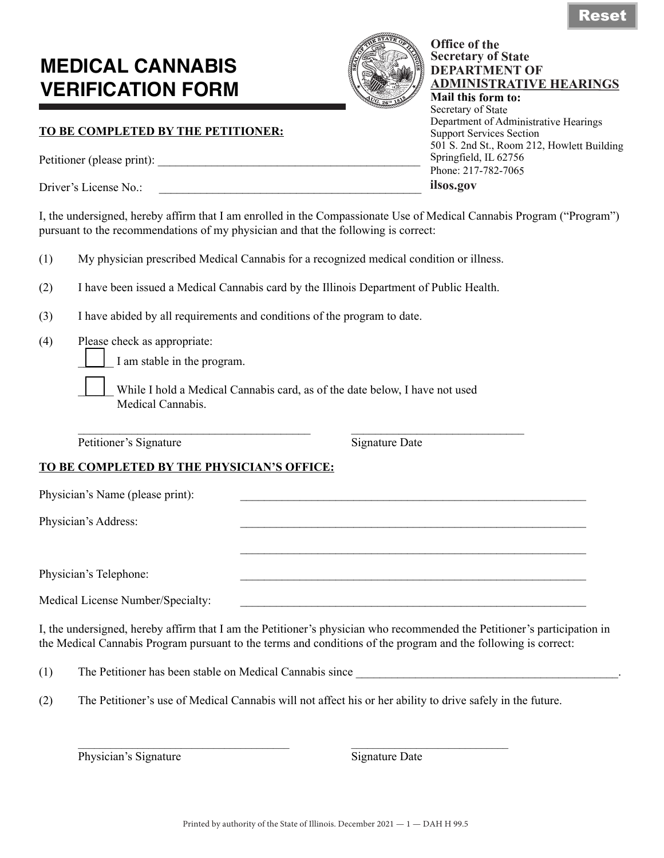# **MEDICAL CANNABIS VERIFICATION FORM**



**Office of the Secretary of State DEPARTMENT OF** 

**Mail this form to:** Secretary of State

Support Services Section

Springfield, IL 62756 Phone: 217-782-7065

**ilsos.gov**

**ADMINISTRATIVE HEARINGS**

501 S. 2nd St., Room 212, Howlett Building

Department of Administrative Hearings

## **TO BE COMPLETED BY THE PETITIONER:**

Petitioner (please print): \_\_\_\_\_\_\_\_\_\_\_\_\_\_\_\_\_\_\_\_\_\_\_\_\_\_\_\_\_\_\_\_\_\_\_\_\_\_\_\_\_\_\_\_

Driver's License No $\cdot$ 

I, the undersigned, hereby affirm that I am enrolled in the Compassionate Use of Medical Cannabis Program ("Program") pursuant to the recommendations of my physician and that the following is correct:

| (1) |                                                                                         |  |  |  |
|-----|-----------------------------------------------------------------------------------------|--|--|--|
|     |                                                                                         |  |  |  |
|     |                                                                                         |  |  |  |
|     | My physician prescribed Medical Cannabis for a recognized medical condition or illness. |  |  |  |

- (2) I have been issued a Medical Cannabis card by the Illinois Department of Public Health.
- (3) I have abided by all requirements and conditions of the program to date.
- (4) Please check as appropriate:

I am stable in the program.

While I hold a Medical Cannabis card, as of the date below, I have not used Medical Cannabis.

 $\mathcal{L}_\text{max} = \mathcal{L}_\text{max} = \mathcal{L}_\text{max} = \mathcal{L}_\text{max} = \mathcal{L}_\text{max} = \mathcal{L}_\text{max} = \mathcal{L}_\text{max} = \mathcal{L}_\text{max} = \mathcal{L}_\text{max} = \mathcal{L}_\text{max} = \mathcal{L}_\text{max} = \mathcal{L}_\text{max} = \mathcal{L}_\text{max} = \mathcal{L}_\text{max} = \mathcal{L}_\text{max} = \mathcal{L}_\text{max} = \mathcal{L}_\text{max} = \mathcal{L}_\text{max} = \mathcal{$ Petitioner's Signature Signature Date

### **TO BE COMPLETED BY THE PHYSICIAN'S OFFICE:**

| Physician's Name (please print):  |  |
|-----------------------------------|--|
| Physician's Address:              |  |
|                                   |  |
| Physician's Telephone:            |  |
|                                   |  |
| Medical License Number/Specialty: |  |

I, the undersigned, hereby affirm that I am the Petitioner's physician who recommended the Petitioner's participation in the Medical Cannabis Program pursuant to the terms and conditions of the program and the following is correct:

(1) The Petitioner has been stable on Medical Cannabis since

(2) The Petitioner's use of Medical Cannabis will not affect his or her ability to drive safely in the future.

Physician's Signature **Signature Signature Date**